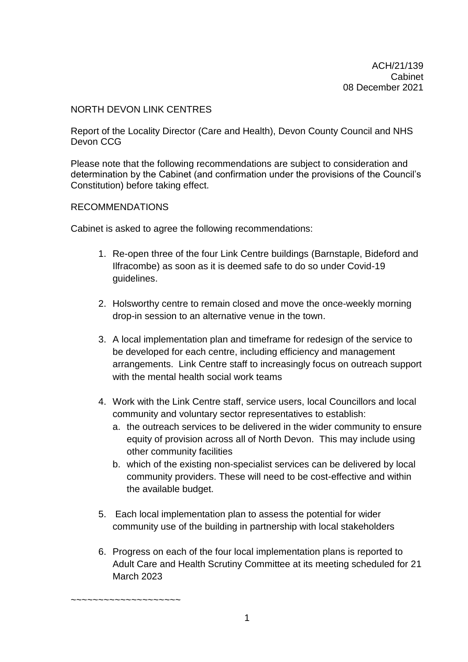#### NORTH DEVON LINK CENTRES

Report of the Locality Director (Care and Health), Devon County Council and NHS Devon CCG

Please note that the following recommendations are subject to consideration and determination by the Cabinet (and confirmation under the provisions of the Council's Constitution) before taking effect.

#### RECOMMENDATIONS

~~~~~~~~~~~~~~~~~~~~

Cabinet is asked to agree the following recommendations:

- 1. Re-open three of the four Link Centre buildings (Barnstaple, Bideford and Ilfracombe) as soon as it is deemed safe to do so under Covid-19 guidelines.
- 2. Holsworthy centre to remain closed and move the once-weekly morning drop-in session to an alternative venue in the town.
- 3. A local implementation plan and timeframe for redesign of the service to be developed for each centre, including efficiency and management arrangements. Link Centre staff to increasingly focus on outreach support with the mental health social work teams
- 4. Work with the Link Centre staff, service users, local Councillors and local community and voluntary sector representatives to establish:
	- a. the outreach services to be delivered in the wider community to ensure equity of provision across all of North Devon. This may include using other community facilities
	- b. which of the existing non-specialist services can be delivered by local community providers. These will need to be cost-effective and within the available budget.
- 5. Each local implementation plan to assess the potential for wider community use of the building in partnership with local stakeholders
- 6. Progress on each of the four local implementation plans is reported to Adult Care and Health Scrutiny Committee at its meeting scheduled for 21 March 2023

1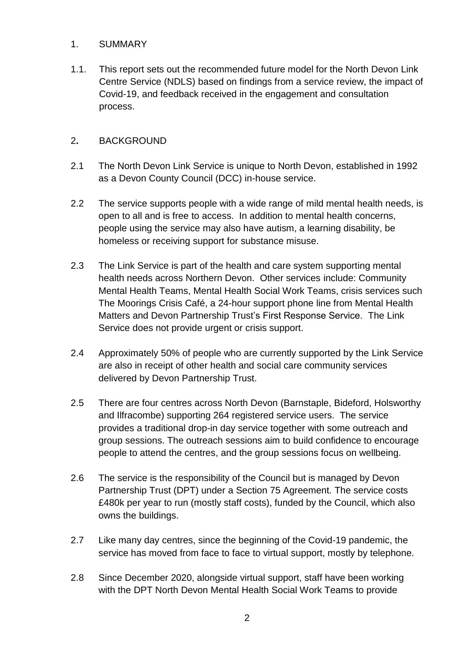### 1. SUMMARY

1.1. This report sets out the recommended future model for the North Devon Link Centre Service (NDLS) based on findings from a service review, the impact of Covid-19, and feedback received in the engagement and consultation process.

### 2**.** BACKGROUND

- 2.1 The North Devon Link Service is unique to North Devon, established in 1992 as a Devon County Council (DCC) in-house service.
- 2.2 The service supports people with a wide range of mild mental health needs, is open to all and is free to access. In addition to mental health concerns, people using the service may also have autism, a learning disability, be homeless or receiving support for substance misuse.
- 2.3 The Link Service is part of the health and care system supporting mental health needs across Northern Devon. Other services include: Community Mental Health Teams, Mental Health Social Work Teams, crisis services such The Moorings Crisis Café, a 24-hour support phone line from Mental Health Matters and Devon Partnership Trust's First Response Service. The Link Service does not provide urgent or crisis support.
- 2.4 Approximately 50% of people who are currently supported by the Link Service are also in receipt of other health and social care community services delivered by Devon Partnership Trust.
- 2.5 There are four centres across North Devon (Barnstaple, Bideford, Holsworthy and Ilfracombe) supporting 264 registered service users. The service provides a traditional drop-in day service together with some outreach and group sessions. The outreach sessions aim to build confidence to encourage people to attend the centres, and the group sessions focus on wellbeing.
- 2.6 The service is the responsibility of the Council but is managed by Devon Partnership Trust (DPT) under a Section 75 Agreement. The service costs £480k per year to run (mostly staff costs), funded by the Council, which also owns the buildings.
- 2.7 Like many day centres, since the beginning of the Covid-19 pandemic, the service has moved from face to face to virtual support, mostly by telephone.
- 2.8 Since December 2020, alongside virtual support, staff have been working with the DPT North Devon Mental Health Social Work Teams to provide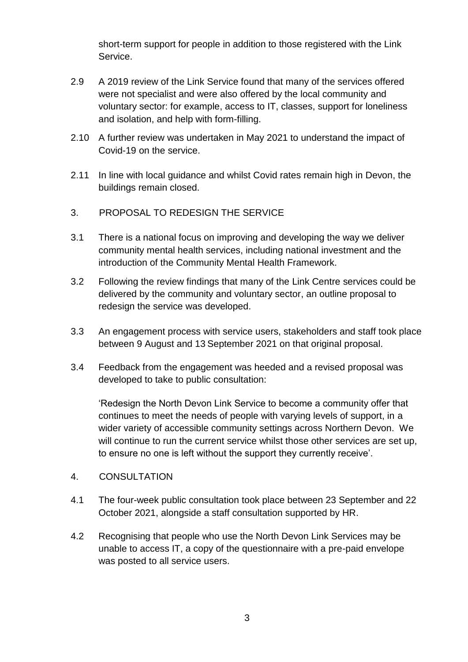short-term support for people in addition to those registered with the Link Service.

- 2.9 A 2019 review of the Link Service found that many of the services offered were not specialist and were also offered by the local community and voluntary sector: for example, access to IT, classes, support for loneliness and isolation, and help with form-filling.
- 2.10 A further review was undertaken in May 2021 to understand the impact of Covid-19 on the service.
- 2.11 In line with local guidance and whilst Covid rates remain high in Devon, the buildings remain closed.
- 3. PROPOSAL TO REDESIGN THE SERVICE
- 3.1 There is a national focus on improving and developing the way we deliver community mental health services, including national investment and the introduction of the Community Mental Health Framework.
- 3.2 Following the review findings that many of the Link Centre services could be delivered by the community and voluntary sector, an outline proposal to redesign the service was developed.
- 3.3 An engagement process with service users, stakeholders and staff took place between 9 August and 13 September 2021 on that original proposal.
- 3.4 Feedback from the engagement was heeded and a revised proposal was developed to take to public consultation:

'Redesign the North Devon Link Service to become a community offer that continues to meet the needs of people with varying levels of support, in a wider variety of accessible community settings across Northern Devon. We will continue to run the current service whilst those other services are set up, to ensure no one is left without the support they currently receive'.

- 4. CONSULTATION
- 4.1 The four-week public consultation took place between 23 September and 22 October 2021, alongside a staff consultation supported by HR.
- 4.2 Recognising that people who use the North Devon Link Services may be unable to access IT, a copy of the questionnaire with a pre-paid envelope was posted to all service users.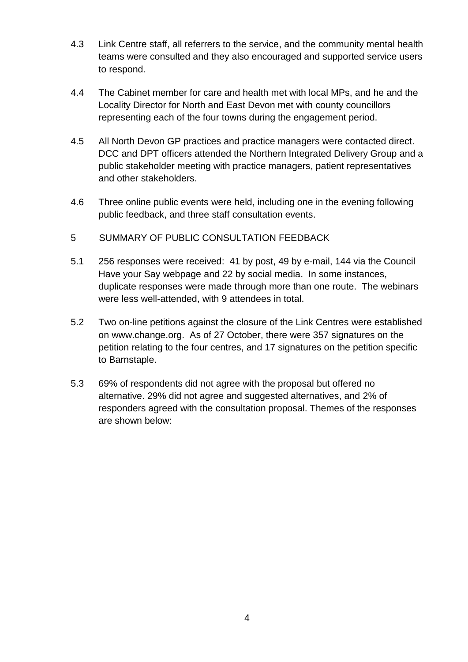- 4.3 Link Centre staff, all referrers to the service, and the community mental health teams were consulted and they also encouraged and supported service users to respond.
- 4.4 The Cabinet member for care and health met with local MPs, and he and the Locality Director for North and East Devon met with county councillors representing each of the four towns during the engagement period.
- 4.5 All North Devon GP practices and practice managers were contacted direct. DCC and DPT officers attended the Northern Integrated Delivery Group and a public stakeholder meeting with practice managers, patient representatives and other stakeholders.
- 4.6 Three online public events were held, including one in the evening following public feedback, and three staff consultation events.
- 5 SUMMARY OF PUBLIC CONSULTATION FEEDBACK
- 5.1 256 responses were received: 41 by post, 49 by e-mail, 144 via the Council Have your Say webpage and 22 by social media. In some instances, duplicate responses were made through more than one route. The webinars were less well-attended, with 9 attendees in total.
- 5.2 Two on-line petitions against the closure of the Link Centres were established on www.change.org. As of 27 October, there were 357 signatures on the petition relating to the four centres, and 17 signatures on the petition specific to Barnstaple.
- 5.3 69% of respondents did not agree with the proposal but offered no alternative. 29% did not agree and suggested alternatives, and 2% of responders agreed with the consultation proposal. Themes of the responses are shown below: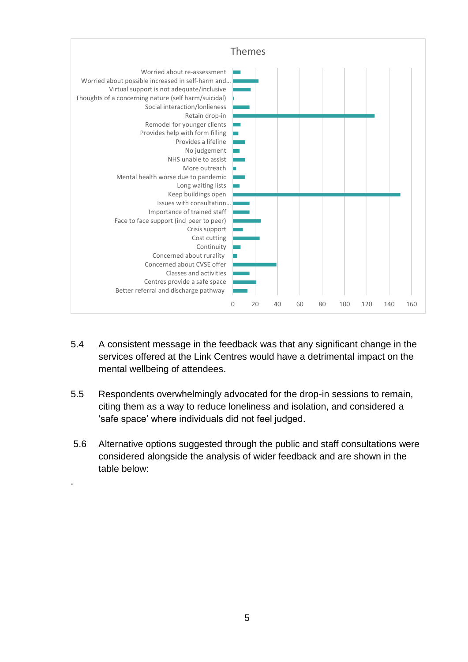

- 5.4 A consistent message in the feedback was that any significant change in the services offered at the Link Centres would have a detrimental impact on the mental wellbeing of attendees.
- 5.5 Respondents overwhelmingly advocated for the drop-in sessions to remain, citing them as a way to reduce loneliness and isolation, and considered a 'safe space' where individuals did not feel judged.
- 5.6 Alternative options suggested through the public and staff consultations were considered alongside the analysis of wider feedback and are shown in the table below:

.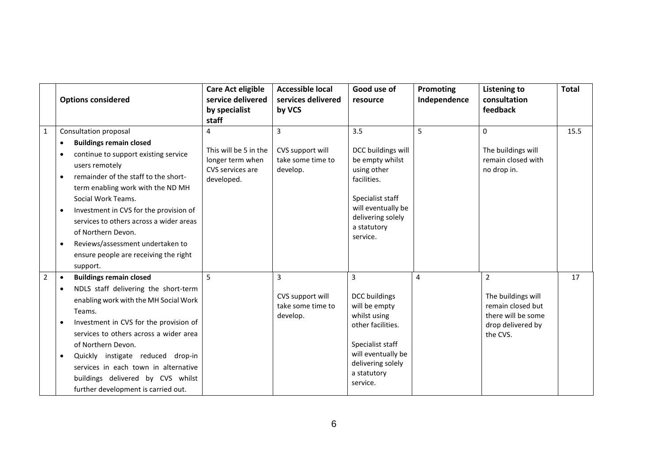|                | <b>Options considered</b>                                                                                                                                                                                                                                                                                                                                                                                                                                       | <b>Care Act eligible</b><br>service delivered<br>by specialist<br>staff          | <b>Accessible local</b><br>services delivered<br>by VCS | Good use of<br>resource                                                                                                                                              | <b>Promoting</b><br>Independence | <b>Listening to</b><br>consultation<br>feedback                                                                  | <b>Total</b> |
|----------------|-----------------------------------------------------------------------------------------------------------------------------------------------------------------------------------------------------------------------------------------------------------------------------------------------------------------------------------------------------------------------------------------------------------------------------------------------------------------|----------------------------------------------------------------------------------|---------------------------------------------------------|----------------------------------------------------------------------------------------------------------------------------------------------------------------------|----------------------------------|------------------------------------------------------------------------------------------------------------------|--------------|
| $\mathbf{1}$   | Consultation proposal<br><b>Buildings remain closed</b><br>continue to support existing service<br>users remotely<br>remainder of the staff to the short-<br>$\bullet$<br>term enabling work with the ND MH<br>Social Work Teams.<br>Investment in CVS for the provision of<br>$\bullet$<br>services to others across a wider areas<br>of Northern Devon.<br>Reviews/assessment undertaken to<br>$\bullet$<br>ensure people are receiving the right<br>support. | 4<br>This will be 5 in the<br>longer term when<br>CVS services are<br>developed. | 3<br>CVS support will<br>take some time to<br>develop.  | 3.5<br>DCC buildings will<br>be empty whilst<br>using other<br>facilities.<br>Specialist staff<br>will eventually be<br>delivering solely<br>a statutory<br>service. | 5                                | 0<br>The buildings will<br>remain closed with<br>no drop in.                                                     | 15.5         |
| $\overline{2}$ | <b>Buildings remain closed</b><br>$\bullet$<br>NDLS staff delivering the short-term<br>enabling work with the MH Social Work<br>Teams.<br>Investment in CVS for the provision of<br>services to others across a wider area<br>of Northern Devon.<br>Quickly instigate reduced drop-in<br>services in each town in alternative<br>buildings delivered by CVS whilst<br>further development is carried out.                                                       | 5                                                                                | 3<br>CVS support will<br>take some time to<br>develop.  | 3<br>DCC buildings<br>will be empty<br>whilst using<br>other facilities.<br>Specialist staff<br>will eventually be<br>delivering solely<br>a statutory<br>service.   | 4                                | $\overline{2}$<br>The buildings will<br>remain closed but<br>there will be some<br>drop delivered by<br>the CVS. | 17           |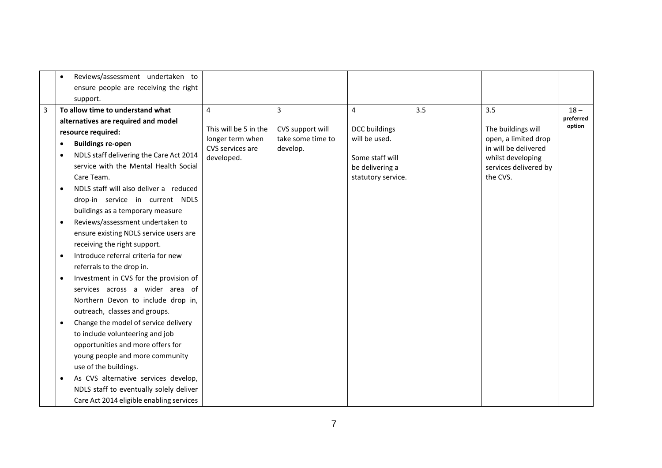|   | $\bullet$                     | Reviews/assessment undertaken to         |                                                               |                                                   |                                       |     |                                                                    |                     |
|---|-------------------------------|------------------------------------------|---------------------------------------------------------------|---------------------------------------------------|---------------------------------------|-----|--------------------------------------------------------------------|---------------------|
|   |                               | ensure people are receiving the right    |                                                               |                                                   |                                       |     |                                                                    |                     |
|   |                               | support.                                 |                                                               |                                                   |                                       |     |                                                                    |                     |
| 3 |                               | To allow time to understand what         | $\overline{4}$                                                | 3                                                 | $\overline{4}$                        | 3.5 | 3.5                                                                | $18 -$              |
|   |                               | alternatives are required and model      |                                                               |                                                   |                                       |     |                                                                    | preferred<br>option |
|   | resource required:            |                                          | This will be 5 in the<br>longer term when<br>CVS services are | CVS support will<br>take some time to<br>develop. | <b>DCC</b> buildings<br>will be used. |     | The buildings will<br>open, a limited drop<br>in will be delivered |                     |
|   | <b>Buildings re-open</b><br>٠ |                                          |                                                               |                                                   |                                       |     |                                                                    |                     |
|   | ٠                             | NDLS staff delivering the Care Act 2014  | developed.                                                    |                                                   | Some staff will                       |     | whilst developing                                                  |                     |
|   |                               | service with the Mental Health Social    |                                                               |                                                   | be delivering a                       |     | services delivered by                                              |                     |
|   |                               | Care Team.                               |                                                               |                                                   | statutory service.                    |     | the CVS.                                                           |                     |
|   | $\bullet$                     | NDLS staff will also deliver a reduced   |                                                               |                                                   |                                       |     |                                                                    |                     |
|   |                               | drop-in service in current NDLS          |                                                               |                                                   |                                       |     |                                                                    |                     |
|   |                               | buildings as a temporary measure         |                                                               |                                                   |                                       |     |                                                                    |                     |
|   | ٠                             | Reviews/assessment undertaken to         |                                                               |                                                   |                                       |     |                                                                    |                     |
|   |                               | ensure existing NDLS service users are   |                                                               |                                                   |                                       |     |                                                                    |                     |
|   |                               | receiving the right support.             |                                                               |                                                   |                                       |     |                                                                    |                     |
|   | $\bullet$                     | Introduce referral criteria for new      |                                                               |                                                   |                                       |     |                                                                    |                     |
|   |                               | referrals to the drop in.                |                                                               |                                                   |                                       |     |                                                                    |                     |
|   | $\bullet$                     | Investment in CVS for the provision of   |                                                               |                                                   |                                       |     |                                                                    |                     |
|   |                               | services across a wider area of          |                                                               |                                                   |                                       |     |                                                                    |                     |
|   |                               | Northern Devon to include drop in,       |                                                               |                                                   |                                       |     |                                                                    |                     |
|   |                               | outreach, classes and groups.            |                                                               |                                                   |                                       |     |                                                                    |                     |
|   | $\bullet$                     | Change the model of service delivery     |                                                               |                                                   |                                       |     |                                                                    |                     |
|   |                               | to include volunteering and job          |                                                               |                                                   |                                       |     |                                                                    |                     |
|   |                               | opportunities and more offers for        |                                                               |                                                   |                                       |     |                                                                    |                     |
|   |                               | young people and more community          |                                                               |                                                   |                                       |     |                                                                    |                     |
|   |                               | use of the buildings.                    |                                                               |                                                   |                                       |     |                                                                    |                     |
|   |                               | As CVS alternative services develop,     |                                                               |                                                   |                                       |     |                                                                    |                     |
|   |                               | NDLS staff to eventually solely deliver  |                                                               |                                                   |                                       |     |                                                                    |                     |
|   |                               | Care Act 2014 eligible enabling services |                                                               |                                                   |                                       |     |                                                                    |                     |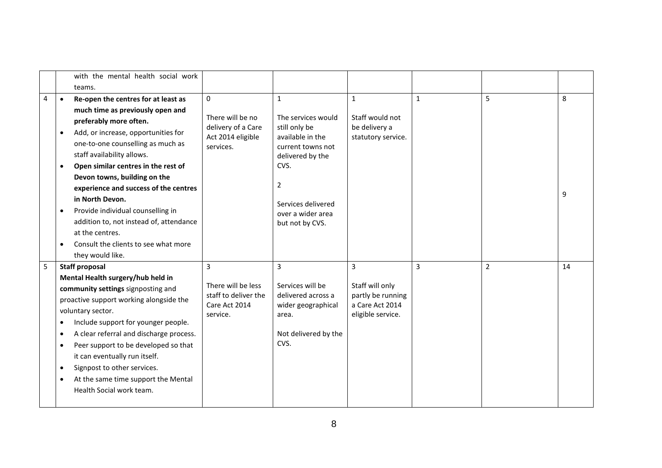|   |           | with the mental health social work                                                                 |                                                                         |                                                                       |                                                                              |              |                |    |
|---|-----------|----------------------------------------------------------------------------------------------------|-------------------------------------------------------------------------|-----------------------------------------------------------------------|------------------------------------------------------------------------------|--------------|----------------|----|
|   |           | teams.                                                                                             |                                                                         |                                                                       |                                                                              |              |                |    |
| 4 | $\bullet$ | Re-open the centres for at least as                                                                | $\mathbf{0}$                                                            | $\mathbf{1}$                                                          | $\mathbf{1}$                                                                 | $\mathbf{1}$ | 5              | 8  |
|   |           | much time as previously open and                                                                   |                                                                         |                                                                       |                                                                              |              |                |    |
|   |           | preferably more often.                                                                             | There will be no                                                        | The services would                                                    | Staff would not                                                              |              |                |    |
|   |           | Add, or increase, opportunities for                                                                | delivery of a Care<br>Act 2014 eligible                                 | still only be<br>available in the                                     | be delivery a<br>statutory service.                                          |              |                |    |
|   |           | one-to-one counselling as much as                                                                  | services.                                                               | current towns not                                                     |                                                                              |              |                |    |
|   |           | staff availability allows.                                                                         |                                                                         | delivered by the                                                      |                                                                              |              |                |    |
|   | $\bullet$ | Open similar centres in the rest of                                                                |                                                                         | CVS.                                                                  |                                                                              |              |                |    |
|   |           | Devon towns, building on the                                                                       |                                                                         |                                                                       |                                                                              |              |                |    |
|   |           | experience and success of the centres                                                              |                                                                         | 2<br>Services delivered                                               |                                                                              |              |                | 9  |
|   |           | in North Devon.                                                                                    |                                                                         |                                                                       |                                                                              |              |                |    |
|   |           | Provide individual counselling in                                                                  |                                                                         | over a wider area                                                     |                                                                              |              |                |    |
|   |           | addition to, not instead of, attendance                                                            |                                                                         | but not by CVS.                                                       |                                                                              |              |                |    |
|   |           | at the centres.                                                                                    |                                                                         |                                                                       |                                                                              |              |                |    |
|   |           | Consult the clients to see what more                                                               |                                                                         |                                                                       |                                                                              |              |                |    |
|   |           | they would like.                                                                                   |                                                                         |                                                                       |                                                                              |              |                |    |
| 5 |           | <b>Staff proposal</b>                                                                              | $\overline{3}$                                                          | 3                                                                     | 3                                                                            | 3            | $\overline{2}$ | 14 |
|   |           | Mental Health surgery/hub held in                                                                  |                                                                         |                                                                       |                                                                              |              |                |    |
|   |           | community settings signposting and<br>proactive support working alongside the<br>voluntary sector. | There will be less<br>staff to deliver the<br>Care Act 2014<br>service. | Services will be<br>delivered across a<br>wider geographical<br>area. | Staff will only<br>partly be running<br>a Care Act 2014<br>eligible service. |              |                |    |
|   |           |                                                                                                    |                                                                         |                                                                       |                                                                              |              |                |    |
|   |           |                                                                                                    |                                                                         |                                                                       |                                                                              |              |                |    |
|   |           | Include support for younger people.                                                                |                                                                         |                                                                       |                                                                              |              |                |    |
|   | ٠         | A clear referral and discharge process.                                                            |                                                                         | Not delivered by the                                                  |                                                                              |              |                |    |
|   |           | Peer support to be developed so that                                                               |                                                                         | CVS.                                                                  |                                                                              |              |                |    |
|   |           | it can eventually run itself.                                                                      |                                                                         |                                                                       |                                                                              |              |                |    |
|   | ٠         | Signpost to other services.                                                                        |                                                                         |                                                                       |                                                                              |              |                |    |
|   |           | At the same time support the Mental                                                                |                                                                         |                                                                       |                                                                              |              |                |    |
|   |           | Health Social work team.                                                                           |                                                                         |                                                                       |                                                                              |              |                |    |
|   |           |                                                                                                    |                                                                         |                                                                       |                                                                              |              |                |    |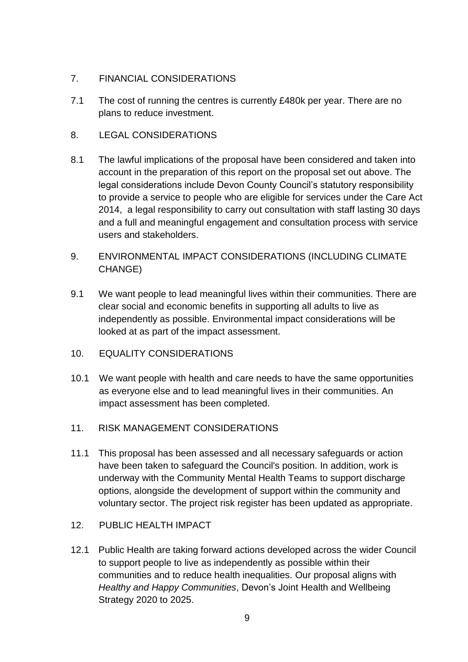### 7. FINANCIAL CONSIDERATIONS

- 7.1 The cost of running the centres is currently £480k per year. There are no plans to reduce investment.
- 8. LEGAL CONSIDERATIONS
- 8.1 The lawful implications of the proposal have been considered and taken into account in the preparation of this report on the proposal set out above. The legal considerations include Devon County Council's statutory responsibility to provide a service to people who are eligible for services under the Care Act 2014, a legal responsibility to carry out consultation with staff lasting 30 days and a full and meaningful engagement and consultation process with service users and stakeholders.
- 9. ENVIRONMENTAL IMPACT CONSIDERATIONS (INCLUDING CLIMATE CHANGE)
- 9.1 We want people to lead meaningful lives within their communities. There are clear social and economic benefits in supporting all adults to live as independently as possible. Environmental impact considerations will be looked at as part of the impact assessment.
- 10. EQUALITY CONSIDERATIONS
- 10.1 We want people with health and care needs to have the same opportunities as everyone else and to lead meaningful lives in their communities. An impact assessment has been completed.
- 11. RISK MANAGEMENT CONSIDERATIONS
- 11.1 This proposal has been assessed and all necessary safeguards or action have been taken to safeguard the Council's position. In addition, work is underway with the Community Mental Health Teams to support discharge options, alongside the development of support within the community and voluntary sector. The project risk register has been updated as appropriate.
- 12. PUBLIC HEALTH IMPACT
- 12.1 Public Health are taking forward actions developed across the wider Council to support people to live as independently as possible within their communities and to reduce health inequalities. Our proposal aligns with *Healthy and Happy Communities*, Devon's Joint Health and Wellbeing Strategy 2020 to 2025.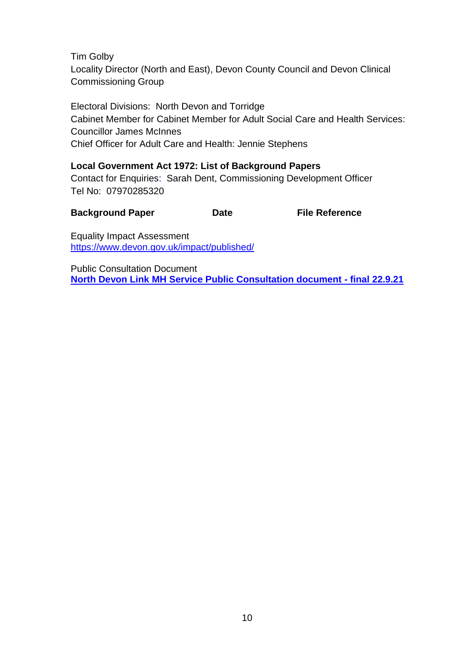Tim Golby Locality Director (North and East), Devon County Council and Devon Clinical Commissioning Group

Electoral Divisions: North Devon and Torridge Cabinet Member for Cabinet Member for Adult Social Care and Health Services: Councillor James McInnes Chief Officer for Adult Care and Health: Jennie Stephens

**Local Government Act 1972: List of Background Papers** Contact for Enquiries: Sarah Dent, Commissioning Development Officer

Tel No: 07970285320

**Background Paper Case Case Case Case Reference** 

Equality Impact Assessment [https://www.devon.gov.uk/impact/published/](https://eur02.safelinks.protection.outlook.com/?url=https%3A%2F%2Fwww.devon.gov.uk%2Fimpact%2Fpublished%2F&data=04%7C01%7Csolveig.sansom%40devon.gov.uk%7C8408f8d225e54b9bf8f208d9b0cb99dc%7C8da13783cb68443fbb4b997f77fd5bfb%7C0%7C0%7C637735210769894212%7CUnknown%7CTWFpbGZsb3d8eyJWIjoiMC4wLjAwMDAiLCJQIjoiV2luMzIiLCJBTiI6Ik1haWwiLCJXVCI6Mn0%3D%7C3000&sdata=WTzdHEJEw5lD7fwDLCR4laMfjZiVeieXU5ada7NQpw0%3D&reserved=0)

Public Consultation Document **[North Devon Link MH Service Public Consultation document -](https://devoncc.sharepoint.com/sites/MeasuringtheCovid-19ImpactNorthDevonLinkService/Shared%20Documents/General/Redesign%202021%20Workpackages/WP7%20-%20Stakeholders%20and%20public%20consultation/consultation%20documentation/North%20Devon%20Link%20MH%20Service%20Public%20Consultation%20document%20-%20final%2022.9.21.docx?web=1) final 22.9.21**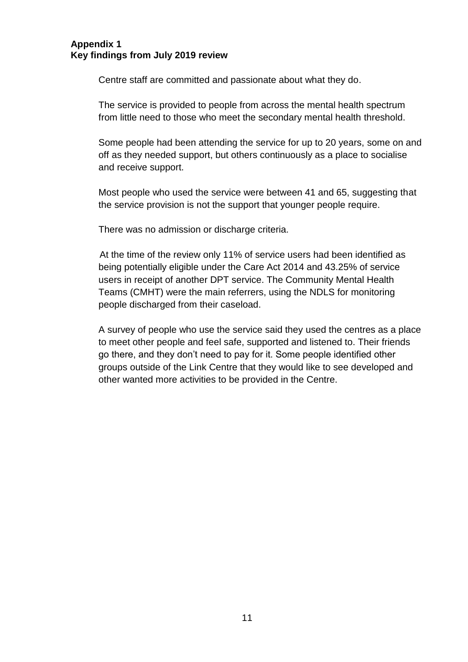#### **Appendix 1 Key findings from July 2019 review**

Centre staff are committed and passionate about what they do.

The service is provided to people from across the mental health spectrum from little need to those who meet the secondary mental health threshold.

Some people had been attending the service for up to 20 years, some on and off as they needed support, but others continuously as a place to socialise and receive support.

Most people who used the service were between 41 and 65, suggesting that the service provision is not the support that younger people require.

There was no admission or discharge criteria.

 At the time of the review only 11% of service users had been identified as being potentially eligible under the Care Act 2014 and 43.25% of service users in receipt of another DPT service. The Community Mental Health Teams (CMHT) were the main referrers, using the NDLS for monitoring people discharged from their caseload.

A survey of people who use the service said they used the centres as a place to meet other people and feel safe, supported and listened to. Their friends go there, and they don't need to pay for it. Some people identified other groups outside of the Link Centre that they would like to see developed and other wanted more activities to be provided in the Centre.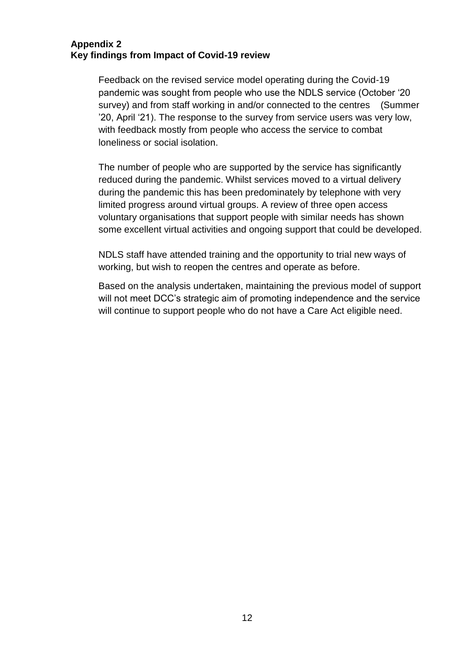#### **Appendix 2 Key findings from Impact of Covid-19 review**

Feedback on the revised service model operating during the Covid-19 pandemic was sought from people who use the NDLS service (October '20 survey) and from staff working in and/or connected to the centres (Summer '20, April '21). The response to the survey from service users was very low, with feedback mostly from people who access the service to combat loneliness or social isolation.

The number of people who are supported by the service has significantly reduced during the pandemic. Whilst services moved to a virtual delivery during the pandemic this has been predominately by telephone with very limited progress around virtual groups. A review of three open access voluntary organisations that support people with similar needs has shown some excellent virtual activities and ongoing support that could be developed.

NDLS staff have attended training and the opportunity to trial new ways of working, but wish to reopen the centres and operate as before.

Based on the analysis undertaken, maintaining the previous model of support will not meet DCC's strategic aim of promoting independence and the service will continue to support people who do not have a Care Act eligible need.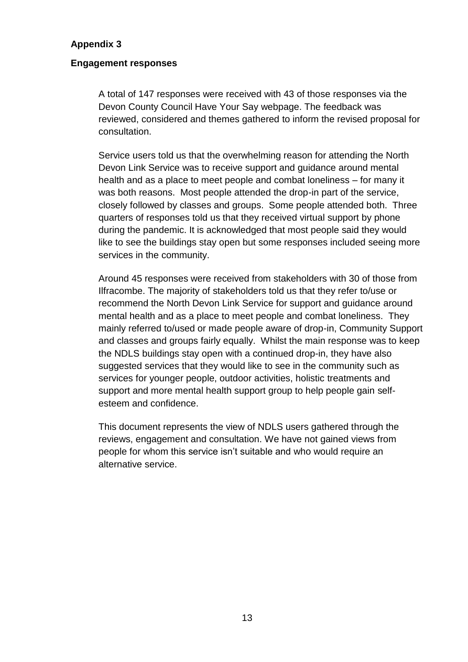#### **Appendix 3**

#### **Engagement responses**

A total of 147 responses were received with 43 of those responses via the Devon County Council Have Your Say webpage. The feedback was reviewed, considered and themes gathered to inform the revised proposal for consultation.

Service users told us that the overwhelming reason for attending the North Devon Link Service was to receive support and guidance around mental health and as a place to meet people and combat loneliness – for many it was both reasons. Most people attended the drop-in part of the service, closely followed by classes and groups. Some people attended both. Three quarters of responses told us that they received virtual support by phone during the pandemic. It is acknowledged that most people said they would like to see the buildings stay open but some responses included seeing more services in the community.

Around 45 responses were received from stakeholders with 30 of those from Ilfracombe. The majority of stakeholders told us that they refer to/use or recommend the North Devon Link Service for support and guidance around mental health and as a place to meet people and combat loneliness. They mainly referred to/used or made people aware of drop-in, Community Support and classes and groups fairly equally. Whilst the main response was to keep the NDLS buildings stay open with a continued drop-in, they have also suggested services that they would like to see in the community such as services for younger people, outdoor activities, holistic treatments and support and more mental health support group to help people gain selfesteem and confidence.

This document represents the view of NDLS users gathered through the reviews, engagement and consultation. We have not gained views from people for whom this service isn't suitable and who would require an alternative service.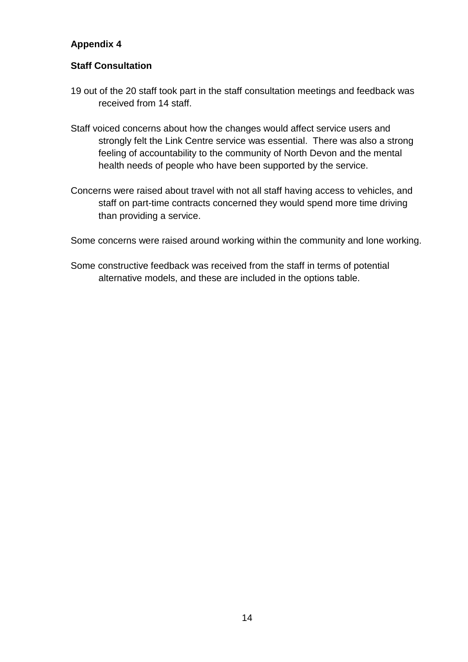# **Appendix 4**

### **Staff Consultation**

- 19 out of the 20 staff took part in the staff consultation meetings and feedback was received from 14 staff.
- Staff voiced concerns about how the changes would affect service users and strongly felt the Link Centre service was essential. There was also a strong feeling of accountability to the community of North Devon and the mental health needs of people who have been supported by the service.
- Concerns were raised about travel with not all staff having access to vehicles, and staff on part-time contracts concerned they would spend more time driving than providing a service.

Some concerns were raised around working within the community and lone working.

Some constructive feedback was received from the staff in terms of potential alternative models, and these are included in the options table.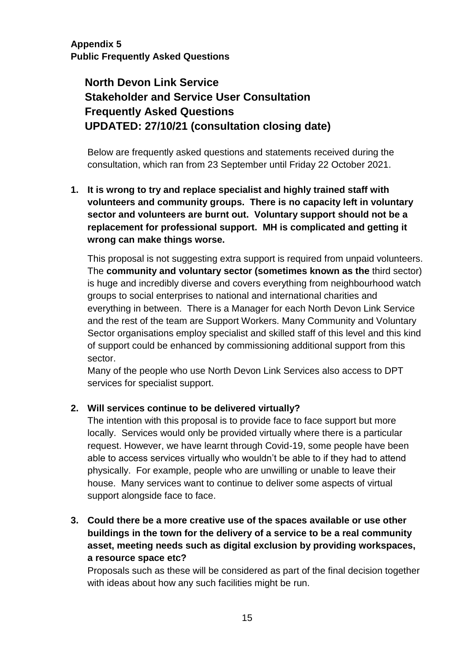**Appendix 5 Public Frequently Asked Questions**

# **North Devon Link Service Stakeholder and Service User Consultation Frequently Asked Questions UPDATED: 27/10/21 (consultation closing date)**

Below are frequently asked questions and statements received during the consultation, which ran from 23 September until Friday 22 October 2021.

**1. It is wrong to try and replace specialist and highly trained staff with volunteers and community groups. There is no capacity left in voluntary sector and volunteers are burnt out. Voluntary support should not be a replacement for professional support. MH is complicated and getting it wrong can make things worse.**

This proposal is not suggesting extra support is required from unpaid volunteers. The **community and voluntary sector (sometimes known as the** third sector) is huge and incredibly diverse and covers everything from neighbourhood watch groups to social enterprises to national and international charities and everything in between. There is a Manager for each North Devon Link Service and the rest of the team are Support Workers. Many Community and Voluntary Sector organisations employ specialist and skilled staff of this level and this kind of support could be enhanced by commissioning additional support from this sector.

Many of the people who use North Devon Link Services also access to DPT services for specialist support.

### **2. Will services continue to be delivered virtually?**

The intention with this proposal is to provide face to face support but more locally. Services would only be provided virtually where there is a particular request. However, we have learnt through Covid-19, some people have been able to access services virtually who wouldn't be able to if they had to attend physically. For example, people who are unwilling or unable to leave their house. Many services want to continue to deliver some aspects of virtual support alongside face to face.

**3. Could there be a more creative use of the spaces available or use other buildings in the town for the delivery of a service to be a real community asset, meeting needs such as digital exclusion by providing workspaces, a resource space etc?**

Proposals such as these will be considered as part of the final decision together with ideas about how any such facilities might be run.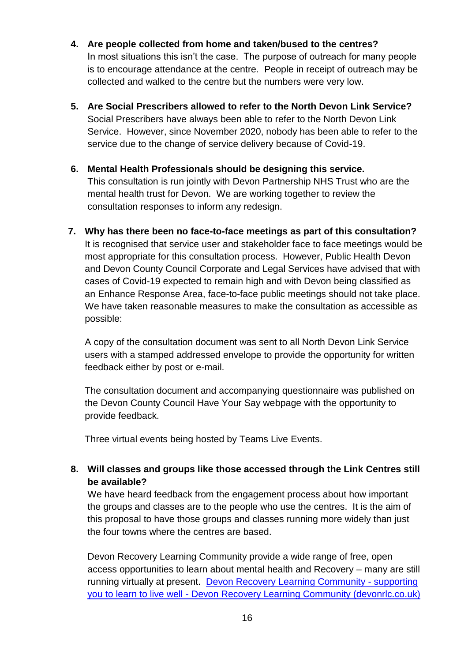- **4. Are people collected from home and taken/bused to the centres?**  In most situations this isn't the case. The purpose of outreach for many people is to encourage attendance at the centre. People in receipt of outreach may be collected and walked to the centre but the numbers were very low.
- **5. Are Social Prescribers allowed to refer to the North Devon Link Service?** Social Prescribers have always been able to refer to the North Devon Link Service. However, since November 2020, nobody has been able to refer to the service due to the change of service delivery because of Covid-19.
- **6. Mental Health Professionals should be designing this service.** This consultation is run jointly with Devon Partnership NHS Trust who are the mental health trust for Devon. We are working together to review the consultation responses to inform any redesign.
- **7. Why has there been no face-to-face meetings as part of this consultation?** It is recognised that service user and stakeholder face to face meetings would be most appropriate for this consultation process. However, Public Health Devon and Devon County Council Corporate and Legal Services have advised that with cases of Covid-19 expected to remain high and with Devon being classified as an Enhance Response Area, face-to-face public meetings should not take place. We have taken reasonable measures to make the consultation as accessible as possible:

A copy of the consultation document was sent to all North Devon Link Service users with a stamped addressed envelope to provide the opportunity for written feedback either by post or e-mail.

The consultation document and accompanying questionnaire was published on the Devon County Council Have Your Say webpage with the opportunity to provide feedback.

Three virtual events being hosted by Teams Live Events.

**8. Will classes and groups like those accessed through the Link Centres still be available?**

We have heard feedback from the engagement process about how important the groups and classes are to the people who use the centres. It is the aim of this proposal to have those groups and classes running more widely than just the four towns where the centres are based.

Devon Recovery Learning Community provide a wide range of free, open access opportunities to learn about mental health and Recovery – many are still running virtually at present. [Devon Recovery Learning Community -](https://devonrlc.co.uk/) supporting you to learn to live well - [Devon Recovery Learning Community \(devonrlc.co.uk\)](https://devonrlc.co.uk/)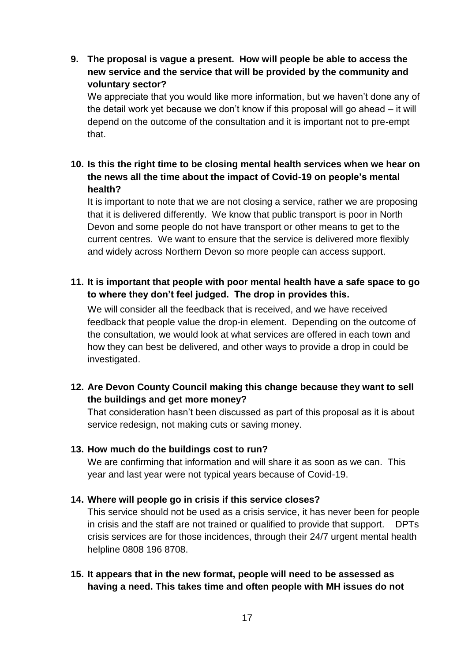**9. The proposal is vague a present. How will people be able to access the new service and the service that will be provided by the community and voluntary sector?**

We appreciate that you would like more information, but we haven't done any of the detail work yet because we don't know if this proposal will go ahead – it will depend on the outcome of the consultation and it is important not to pre-empt that.

# **10. Is this the right time to be closing mental health services when we hear on the news all the time about the impact of Covid-19 on people's mental health?**

It is important to note that we are not closing a service, rather we are proposing that it is delivered differently. We know that public transport is poor in North Devon and some people do not have transport or other means to get to the current centres. We want to ensure that the service is delivered more flexibly and widely across Northern Devon so more people can access support.

# **11. It is important that people with poor mental health have a safe space to go to where they don't feel judged. The drop in provides this.**

We will consider all the feedback that is received, and we have received feedback that people value the drop-in element. Depending on the outcome of the consultation, we would look at what services are offered in each town and how they can best be delivered, and other ways to provide a drop in could be investigated.

# **12. Are Devon County Council making this change because they want to sell the buildings and get more money?**

That consideration hasn't been discussed as part of this proposal as it is about service redesign, not making cuts or saving money.

### **13. How much do the buildings cost to run?**

We are confirming that information and will share it as soon as we can. This year and last year were not typical years because of Covid-19.

# **14. Where will people go in crisis if this service closes?**

This service should not be used as a crisis service, it has never been for people in crisis and the staff are not trained or qualified to provide that support. DPTs crisis services are for those incidences, through their 24/7 urgent mental health helpline 0808 196 8708.

### **15. It appears that in the new format, people will need to be assessed as having a need. This takes time and often people with MH issues do not**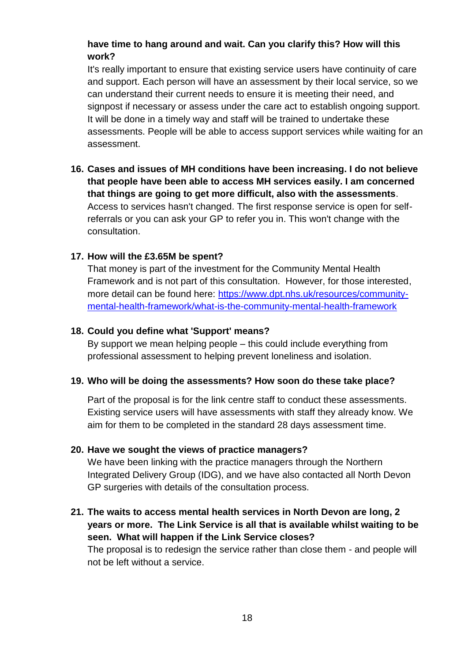# **have time to hang around and wait. Can you clarify this? How will this work?**

It's really important to ensure that existing service users have continuity of care and support. Each person will have an assessment by their local service, so we can understand their current needs to ensure it is meeting their need, and signpost if necessary or assess under the care act to establish ongoing support. It will be done in a timely way and staff will be trained to undertake these assessments. People will be able to access support services while waiting for an assessment.

**16. Cases and issues of MH conditions have been increasing. I do not believe that people have been able to access MH services easily. I am concerned that things are going to get more difficult, also with the assessments**. Access to services hasn't changed. The first response service is open for selfreferrals or you can ask your GP to refer you in. This won't change with the consultation.

### **17. How will the £3.65M be spent?**

That money is part of the investment for the Community Mental Health Framework and is not part of this consultation. However, for those interested, more detail can be found here: [https://www.dpt.nhs.uk/resources/community](https://www.dpt.nhs.uk/resources/community-mental-health-framework/what-is-the-community-mental-health-framework)[mental-health-framework/what-is-the-community-mental-health-framework](https://www.dpt.nhs.uk/resources/community-mental-health-framework/what-is-the-community-mental-health-framework)

### **18. Could you define what 'Support' means?**

By support we mean helping people – this could include everything from professional assessment to helping prevent loneliness and isolation.

### **19. Who will be doing the assessments? How soon do these take place?**

Part of the proposal is for the link centre staff to conduct these assessments. Existing service users will have assessments with staff they already know. We aim for them to be completed in the standard 28 days assessment time.

### **20. Have we sought the views of practice managers?**

We have been linking with the practice managers through the Northern Integrated Delivery Group (IDG), and we have also contacted all North Devon GP surgeries with details of the consultation process.

**21. The waits to access mental health services in North Devon are long, 2 years or more. The Link Service is all that is available whilst waiting to be seen. What will happen if the Link Service closes?**  The proposal is to redesign the service rather than close them - and people will not be left without a service.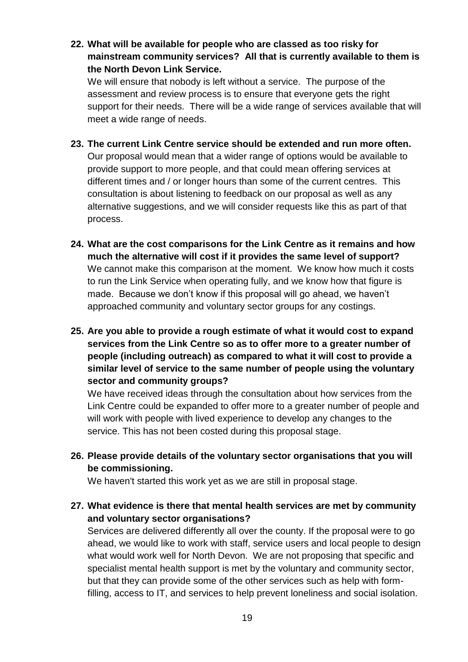**22. What will be available for people who are classed as too risky for mainstream community services? All that is currently available to them is the North Devon Link Service.**

We will ensure that nobody is left without a service. The purpose of the assessment and review process is to ensure that everyone gets the right support for their needs. There will be a wide range of services available that will meet a wide range of needs.

- **23. The current Link Centre service should be extended and run more often.**  Our proposal would mean that a wider range of options would be available to provide support to more people, and that could mean offering services at different times and / or longer hours than some of the current centres. This consultation is about listening to feedback on our proposal as well as any alternative suggestions, and we will consider requests like this as part of that process.
- **24. What are the cost comparisons for the Link Centre as it remains and how much the alternative will cost if it provides the same level of support?** We cannot make this comparison at the moment. We know how much it costs to run the Link Service when operating fully, and we know how that figure is made. Because we don't know if this proposal will go ahead, we haven't approached community and voluntary sector groups for any costings.
- **25. Are you able to provide a rough estimate of what it would cost to expand services from the Link Centre so as to offer more to a greater number of people (including outreach) as compared to what it will cost to provide a similar level of service to the same number of people using the voluntary sector and community groups?**

We have received ideas through the consultation about how services from the Link Centre could be expanded to offer more to a greater number of people and will work with people with lived experience to develop any changes to the service. This has not been costed during this proposal stage.

**26. Please provide details of the voluntary sector organisations that you will be commissioning.**

We haven't started this work yet as we are still in proposal stage.

**27. What evidence is there that mental health services are met by community and voluntary sector organisations?**

Services are delivered differently all over the county. If the proposal were to go ahead, we would like to work with staff, service users and local people to design what would work well for North Devon. We are not proposing that specific and specialist mental health support is met by the voluntary and community sector, but that they can provide some of the other services such as help with formfilling, access to IT, and services to help prevent loneliness and social isolation.